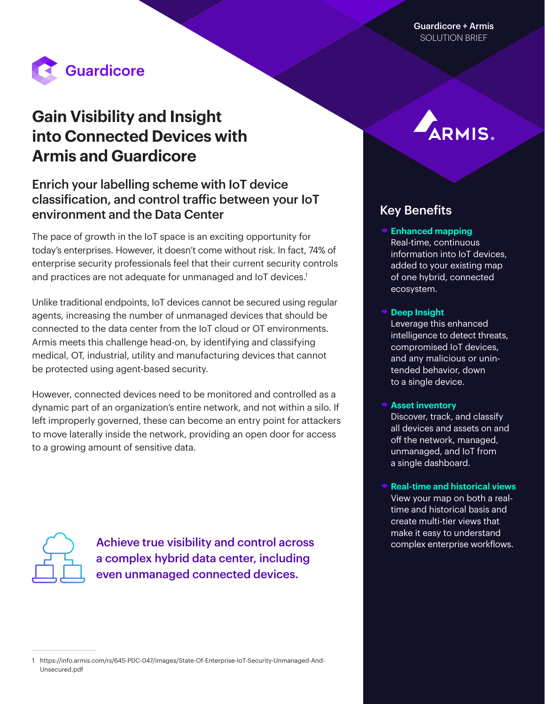

# **Gain Visibility and Insight into Connected Devices with Armis and Guardicore**

## Enrich your labelling scheme with IoT device classification, and control traffic between your IoT environment and the Data Center

The pace of growth in the IoT space is an exciting opportunity for today's enterprises. However, it doesn't come without risk. In fact, 74% of enterprise security professionals feel that their current security controls and practices are not adequate for unmanaged and IoT devices.<sup>1</sup>

Unlike traditional endpoints, IoT devices cannot be secured using regular agents, increasing the number of unmanaged devices that should be connected to the data center from the IoT cloud or OT environments. Armis meets this challenge head-on, by identifying and classifying medical, OT, industrial, utility and manufacturing devices that cannot be protected using agent-based security.

However, connected devices need to be monitored and controlled as a dynamic part of an organization's entire network, and not within a silo. If left improperly governed, these can become an entry point for attackers to move laterally inside the network, providing an open door for access to a growing amount of sensitive data.



Achieve true visibility and control across enterprise workflows. a complex hybrid data center, including even unmanaged connected devices.

## Key Benefits

### ◆ Enhanced mapping Real-time, continuous information into IoT devices, added to your existing map of one hybrid, connected ecosystem.

#### ◆ Deep Insight

Leverage this enhanced intelligence to detect threats, compromised IoT devices, and any malicious or unintended behavior, down to a single device.

#### **★ Asset inventory**

Discover, track, and classify all devices and assets on and off the network, managed, unmanaged, and IoT from a single dashboard.

**★ Real-time and historical views** View your map on both a realtime and historical basis and create multi-tier views that make it easy to understand

<sup>1</sup> [https://info.armis.com/rs/645-PDC-047/images/State-Of-Enterprise-IoT-Security-Unmanaged-And-](https://info.armis.com/rs/645-PDC-047/images/State-Of-Enterprise-IoT-Security-Unmanaged-And-Unsecured.pdf)[Unsecured.pdf](https://info.armis.com/rs/645-PDC-047/images/State-Of-Enterprise-IoT-Security-Unmanaged-And-Unsecured.pdf)